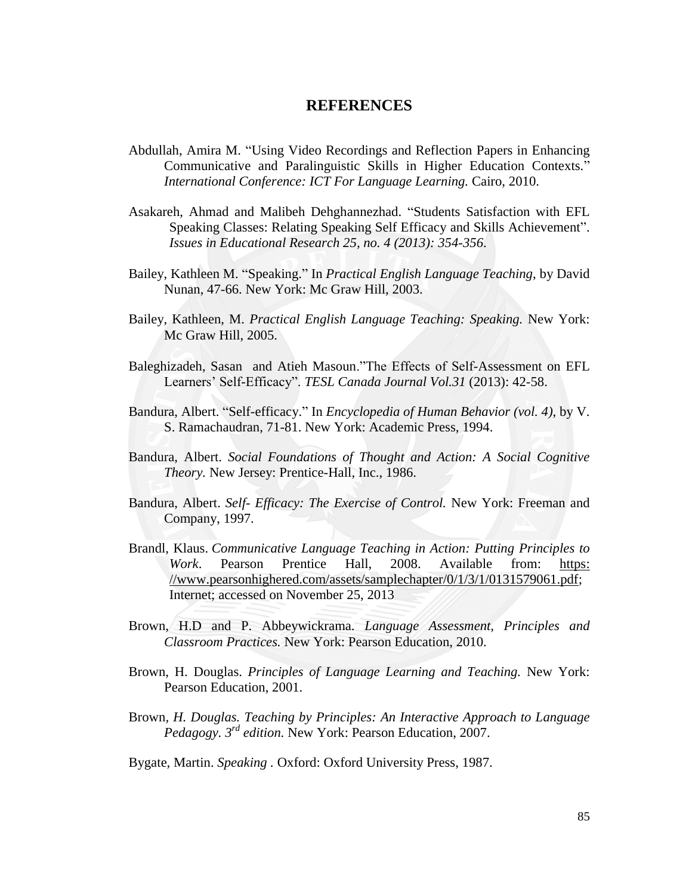## **REFERENCES**

- Abdullah, Amira M. "Using Video Recordings and Reflection Papers in Enhancing Communicative and Paralinguistic Skills in Higher Education Contexts." *International Conference: ICT For Language Learning.* Cairo, 2010.
- Asakareh, Ahmad and Malibeh Dehghannezhad. "Students Satisfaction with EFL Speaking Classes: Relating Speaking Self Efficacy and Skills Achievement". *Issues in Educational Research 25, no. 4 (2013): 354-356*.
- Bailey, Kathleen M. "Speaking." In *Practical English Language Teaching*, by David Nunan, 47-66. New York: Mc Graw Hill, 2003.
- Bailey, Kathleen, M. *Practical English Language Teaching: Speaking.* New York: Mc Graw Hill, 2005.
- Baleghizadeh, Sasan and Atieh Masoun."The Effects of Self-Assessment on EFL Learners' Self-Efficacy". *TESL Canada Journal Vol.31* (2013): 42-58.
- Bandura, Albert. "Self-efficacy." In *Encyclopedia of Human Behavior (vol. 4)*, by V. S. Ramachaudran, 71-81. New York: Academic Press, 1994.
- Bandura, Albert. *Social Foundations of Thought and Action: A Social Cognitive Theory.* New Jersey: Prentice-Hall, Inc., 1986.
- Bandura, Albert. *Self- Efficacy: The Exercise of Control.* New York: Freeman and Company, 1997.
- Brandl, Klaus. *Communicative Language Teaching in Action: Putting Principles to Work*. Pearson Prentice Hall, 2008. Available from: [https:](https://www.pearsonhighered.com/assets/samplechapter/0/1/3/1/0131579061.pdf) [//www.pearsonhighered.com/assets/samplechapter/0/1/3/1/0131579061.pdf;](https://www.pearsonhighered.com/assets/samplechapter/0/1/3/1/0131579061.pdf) Internet; accessed on November 25, 2013
- Brown, H.D and P. Abbeywickrama. *Language Assessment, Principles and Classroom Practices.* New York: Pearson Education, 2010.
- Brown, H. Douglas. *Principles of Language Learning and Teaching.* New York: Pearson Education, 2001.
- Brown*, H. Douglas. Teaching by Principles: An Interactive Approach to Language Pedagogy. 3rd edition.* New York: Pearson Education, 2007.
- Bygate, Martin. *Speaking .* Oxford: Oxford University Press, 1987.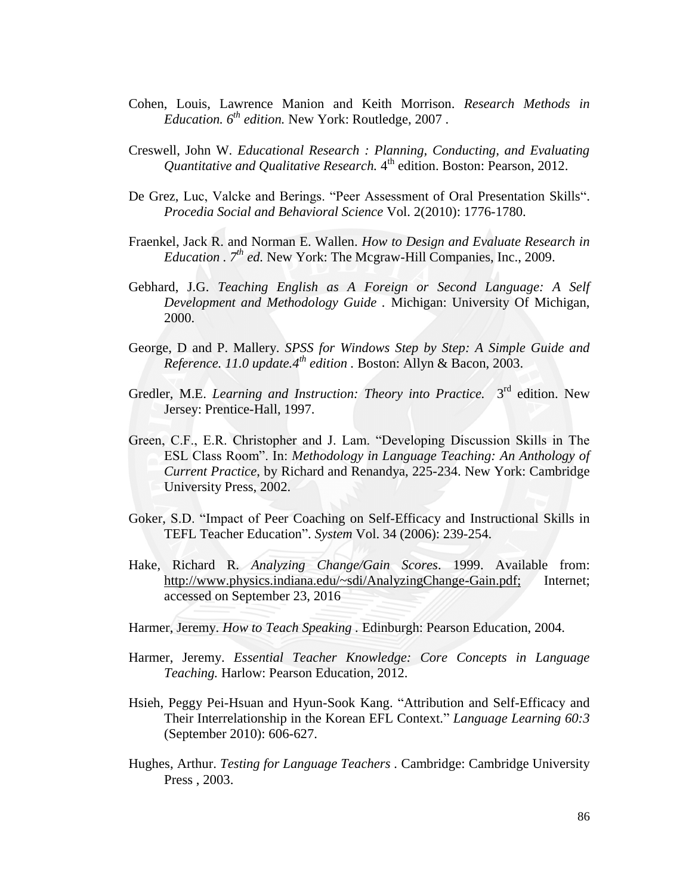- Cohen, Louis, Lawrence Manion and Keith Morrison. *Research Methods in Education. 6th edition.* New York: Routledge, 2007 .
- Creswell, John W. *Educational Research : Planning, Conducting, and Evaluating Quantitative and Qualitative Research.* 4 th edition. Boston: Pearson, 2012.
- De Grez, Luc, Valcke and Berings. "Peer Assessment of Oral Presentation Skills". *Procedia Social and Behavioral Science* Vol. 2(2010): 1776-1780.
- Fraenkel, Jack R. and Norman E. Wallen. *How to Design and Evaluate Research in Education . 7th ed.* New York: The Mcgraw-Hill Companies, Inc., 2009.
- Gebhard, J.G. *Teaching English as A Foreign or Second Language: A Self Development and Methodology Guide .* Michigan: University Of Michigan, 2000.
- George, D and P. Mallery. *SPSS for Windows Step by Step: A Simple Guide and Reference. 11.0 update.4th edition .* Boston: Allyn & Bacon, 2003.
- Gredler, M.E. *Learning and Instruction: Theory into Practice*. 3<sup>rd</sup> edition. New Jersey: Prentice-Hall, 1997.
- Green, C.F., E.R. Christopher and J. Lam. "Developing Discussion Skills in The ESL Class Room‖. In: *Methodology in Language Teaching: An Anthology of Current Practice*, by Richard and Renandya, 225-234. New York: Cambridge University Press, 2002.
- Goker, S.D. "Impact of Peer Coaching on Self-Efficacy and Instructional Skills in TEFL Teacher Education‖. *System* Vol. 34 (2006): 239-254.
- Hake, Richard R. *Analyzing Change/Gain Scores*. 1999. Available from: [http://www.physics.indiana.edu/~sdi/AnalyzingChange-Gain.pdf;](http://www.physics.indiana.edu/~sdi/AnalyzingChange-Gain.pdf) Internet; accessed on September 23, 2016
- Harmer, Jeremy. *How to Teach Speaking .* Edinburgh: Pearson Education, 2004.
- Harmer, Jeremy. *Essential Teacher Knowledge: Core Concepts in Language Teaching.* Harlow: Pearson Education, 2012.
- Hsieh, Peggy Pei-Hsuan and Hyun-Sook Kang. "Attribution and Self-Efficacy and Their Interrelationship in the Korean EFL Context." *Language Learning 60:3* (September 2010): 606-627.
- Hughes, Arthur. *Testing for Language Teachers .* Cambridge: Cambridge University Press , 2003.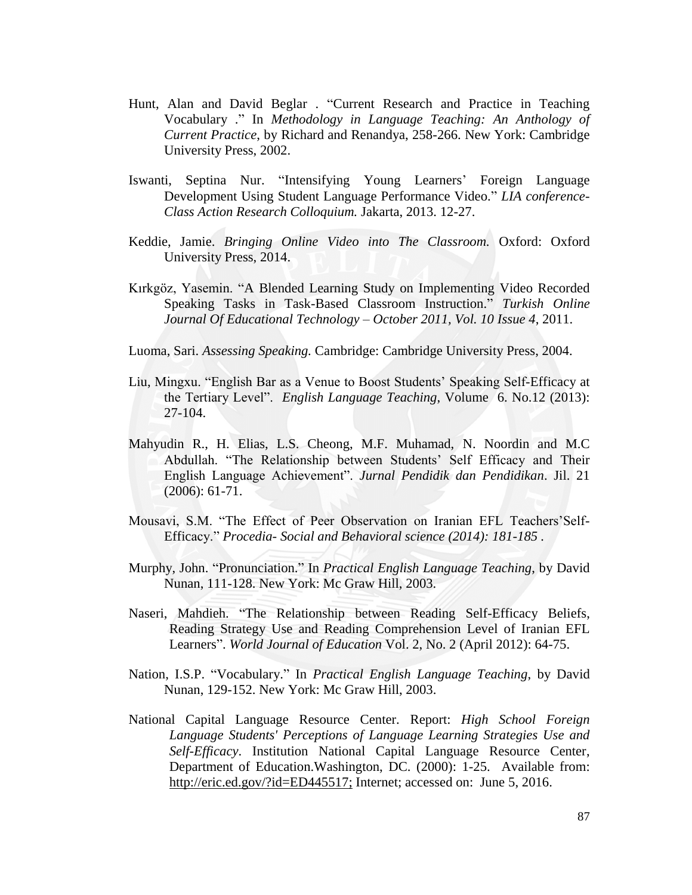- Hunt, Alan and David Beglar . "Current Research and Practice in Teaching Vocabulary .‖ In *Methodology in Language Teaching: An Anthology of Current Practice*, by Richard and Renandya, 258-266. New York: Cambridge University Press, 2002.
- Iswanti, Septina Nur. "Intensifying Young Learners' Foreign Language Development Using Student Language Performance Video." *LIA conference-Class Action Research Colloquium.* Jakarta, 2013. 12-27.
- Keddie, Jamie. *Bringing Online Video into The Classroom.* Oxford: Oxford University Press, 2014.
- Kırkgöz, Yasemin. ―A Blended Learning Study on Implementing Video Recorded Speaking Tasks in Task-Based Classroom Instruction.‖ *Turkish Online Journal Of Educational Technology – October 2011, Vol. 10 Issue 4*, 2011.

Luoma, Sari. *Assessing Speaking.* Cambridge: Cambridge University Press, 2004.

- Liu, Mingxu. "English Bar as a Venue to Boost Students' Speaking Self-Efficacy at the Tertiary Level". *English Language Teaching*, Volume 6. No.12 (2013): 27-104.
- Mahyudin R., H. Elias, L.S. Cheong, M.F. Muhamad, N. Noordin and M.C Abdullah. "The Relationship between Students' Self Efficacy and Their English Language Achievement‖. *Jurnal Pendidik dan Pendidikan*. Jil. 21 (2006): 61-71.
- Mousavi, S.M. "The Effect of Peer Observation on Iranian EFL Teachers'Self-Efficacy.‖ *Procedia- Social and Behavioral science (2014): 181-185 .*
- Murphy, John. "Pronunciation." In *Practical English Language Teaching*, by David Nunan, 111-128. New York: Mc Graw Hill, 2003.
- Naseri, Mahdieh. "The Relationship between Reading Self-Efficacy Beliefs, Reading Strategy Use and Reading Comprehension Level of Iranian EFL Learners". *World Journal of Education* Vol. 2, No. 2 (April 2012): 64-75.
- Nation, I.S.P. "Vocabulary." In *Practical English Language Teaching*, by David Nunan, 129-152. New York: Mc Graw Hill, 2003.
- National Capital Language Resource Center. Report: *High School Foreign Language Students' Perceptions of Language Learning Strategies Use and Self-Efficacy*. Institution National Capital Language Resource Center, Department of Education.Washington, DC. (2000): 1-25. Available from: [http://eric.ed.gov/?id=ED445517;](http://eric.ed.gov/?id=ED445517) Internet; accessed on: June 5, 2016.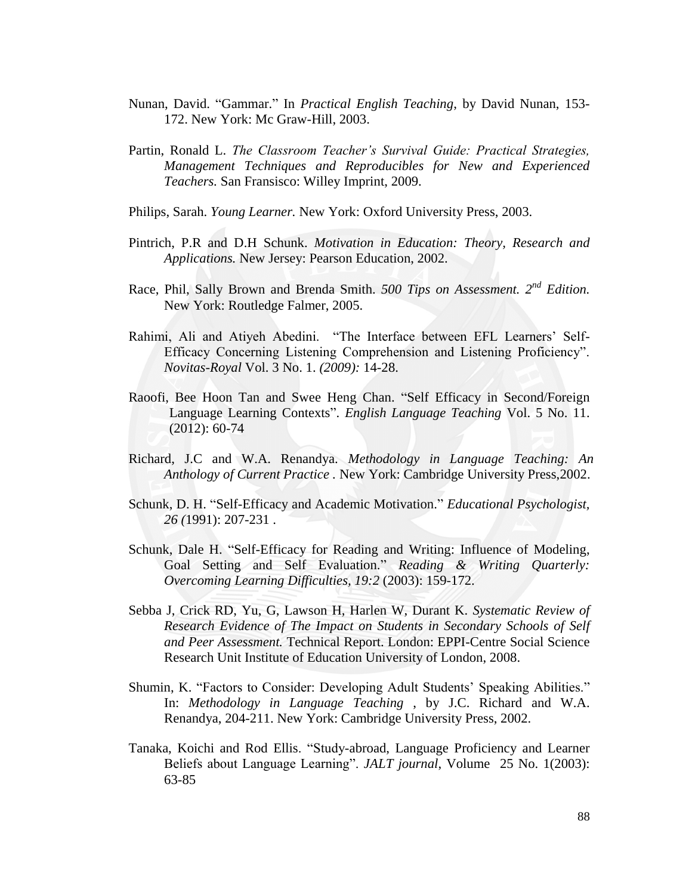- Nunan, David. "Gammar." In *Practical English Teaching*, by David Nunan, 153-172. New York: Mc Graw-Hill, 2003.
- Partin, Ronald L. *The Classroom Teacher's Survival Guide: Practical Strategies, Management Techniques and Reproducibles for New and Experienced Teachers.* San Fransisco: Willey Imprint, 2009.
- Philips, Sarah. *Young Learner.* New York: Oxford University Press, 2003.
- Pintrich, P.R and D.H Schunk. *Motivation in Education: Theory, Research and Applications.* New Jersey: Pearson Education, 2002.
- Race, Phil, Sally Brown and Brenda Smith. *500 Tips on Assessment. 2nd Edition.* New York: Routledge Falmer, 2005.
- Rahimi, Ali and Atiyeh Abedini. "The Interface between EFL Learners' Self-Efficacy Concerning Listening Comprehension and Listening Proficiency". *Novitas-Royal* Vol. 3 No. 1. *(2009):* 14-28.
- Raoofi, Bee Hoon Tan and Swee Heng Chan. "Self Efficacy in Second/Foreign Language Learning Contexts". *English Language Teaching* Vol. 5 No. 11. (2012): 60-74
- Richard, J.C and W.A. Renandya. *Methodology in Language Teaching: An Anthology of Current Practice .* New York: Cambridge University Press,2002.
- Schunk, D. H. "Self-Efficacy and Academic Motivation." *Educational Psychologist*, *26 (*1991): 207-231 .
- Schunk, Dale H. "Self-Efficacy for Reading and Writing: Influence of Modeling, Goal Setting and Self Evaluation." *Reading & Writing Quarterly: Overcoming Learning Difficulties, 19:2* (2003): 159-172.
- Sebba J, Crick RD, Yu, G, Lawson H, Harlen W, Durant K. *Systematic Review of Research Evidence of The Impact on Students in Secondary Schools of Self and Peer Assessment.* Technical Report. London: EPPI-Centre Social Science Research Unit Institute of Education University of London, 2008.
- Shumin, K. "Factors to Consider: Developing Adult Students' Speaking Abilities." In: *Methodology in Language Teaching* , by J.C. Richard and W.A. Renandya, 204-211. New York: Cambridge University Press, 2002.
- Tanaka, Koichi and Rod Ellis. ―Study-abroad, Language Proficiency and Learner Beliefs about Language Learning". *JALT journal*, Volume 25 No. 1(2003): 63-85